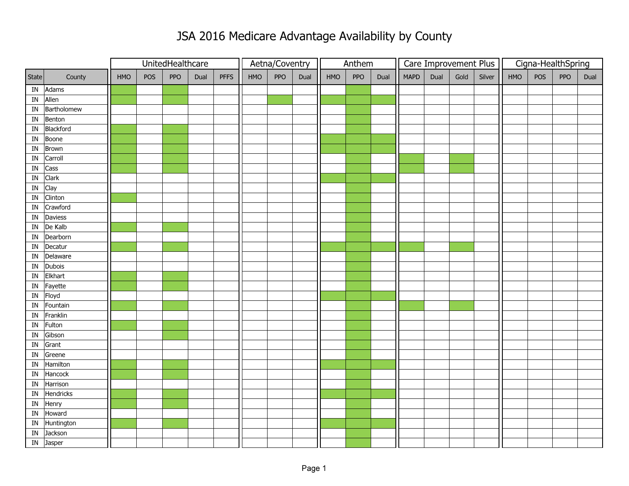## JSA 2016 Medicare Advantage Availability by County

|                          |              |     |     | UnitedHealthcare |      |             | Aetna/Coventry |     |      | Anthem |     |      | Care Improvement Plus |      |      |        | Cigna-HealthSpring |     |     |      |  |
|--------------------------|--------------|-----|-----|------------------|------|-------------|----------------|-----|------|--------|-----|------|-----------------------|------|------|--------|--------------------|-----|-----|------|--|
| State                    | County       | HMO | POS | <b>PPO</b>       | Dual | <b>PFFS</b> | HMO            | PPO | Dual | HMO    | PPO | Dual | <b>MAPD</b>           | Dual | Gold | Silver | HMO                | POS | PPO | Dual |  |
| $\ensuremath{\text{IN}}$ | Adams        |     |     |                  |      |             |                |     |      |        |     |      |                       |      |      |        |                    |     |     |      |  |
| ${\bf IN}$               | Allen        |     |     |                  |      |             |                |     |      |        |     |      |                       |      |      |        |                    |     |     |      |  |
| $\ensuremath{\text{IN}}$ | Bartholomew  |     |     |                  |      |             |                |     |      |        |     |      |                       |      |      |        |                    |     |     |      |  |
| IN                       | Benton       |     |     |                  |      |             |                |     |      |        |     |      |                       |      |      |        |                    |     |     |      |  |
| ${\rm IN}$               | Blackford    |     |     |                  |      |             |                |     |      |        |     |      |                       |      |      |        |                    |     |     |      |  |
| IN                       | Boone        |     |     |                  |      |             |                |     |      |        |     |      |                       |      |      |        |                    |     |     |      |  |
| ${\rm IN}$               | <b>Brown</b> |     |     |                  |      |             |                |     |      |        |     |      |                       |      |      |        |                    |     |     |      |  |
| $\ensuremath{\text{IN}}$ | Carroll      |     |     |                  |      |             |                |     |      |        |     |      |                       |      |      |        |                    |     |     |      |  |
| ${\tt IN}$               | Cass         |     |     |                  |      |             |                |     |      |        |     |      |                       |      |      |        |                    |     |     |      |  |
| IN                       | Clark        |     |     |                  |      |             |                |     |      |        |     |      |                       |      |      |        |                    |     |     |      |  |
| ${\bf IN}$               | Clay         |     |     |                  |      |             |                |     |      |        |     |      |                       |      |      |        |                    |     |     |      |  |
| $\ensuremath{\text{IN}}$ | Clinton      |     |     |                  |      |             |                |     |      |        |     |      |                       |      |      |        |                    |     |     |      |  |
| $\ensuremath{\text{IN}}$ | Crawford     |     |     |                  |      |             |                |     |      |        |     |      |                       |      |      |        |                    |     |     |      |  |
| IN                       | Daviess      |     |     |                  |      |             |                |     |      |        |     |      |                       |      |      |        |                    |     |     |      |  |
| ${\tt IN}$               | De Kalb      |     |     |                  |      |             |                |     |      |        |     |      |                       |      |      |        |                    |     |     |      |  |
| $\ensuremath{\text{IN}}$ | Dearborn     |     |     |                  |      |             |                |     |      |        |     |      |                       |      |      |        |                    |     |     |      |  |
| $\ensuremath{\text{IN}}$ | Decatur      |     |     |                  |      |             |                |     |      |        |     |      |                       |      |      |        |                    |     |     |      |  |
| IN                       | Delaware     |     |     |                  |      |             |                |     |      |        |     |      |                       |      |      |        |                    |     |     |      |  |
| IN                       | Dubois       |     |     |                  |      |             |                |     |      |        |     |      |                       |      |      |        |                    |     |     |      |  |
| ${\rm IN}$               | Elkhart      |     |     |                  |      |             |                |     |      |        |     |      |                       |      |      |        |                    |     |     |      |  |
| ${\rm IN}$               | Fayette      |     |     |                  |      |             |                |     |      |        |     |      |                       |      |      |        |                    |     |     |      |  |
| IN                       | Floyd        |     |     |                  |      |             |                |     |      |        |     |      |                       |      |      |        |                    |     |     |      |  |
| $\overline{\mathsf{IN}}$ | Fountain     |     |     |                  |      |             |                |     |      |        |     |      |                       |      |      |        |                    |     |     |      |  |
| ${\bf IN}$               | Franklin     |     |     |                  |      |             |                |     |      |        |     |      |                       |      |      |        |                    |     |     |      |  |
| ${\bf IN}$               | Fulton       |     |     |                  |      |             |                |     |      |        |     |      |                       |      |      |        |                    |     |     |      |  |
| IN                       | Gibson       |     |     |                  |      |             |                |     |      |        |     |      |                       |      |      |        |                    |     |     |      |  |
| ${\bf IN}$               | Grant        |     |     |                  |      |             |                |     |      |        |     |      |                       |      |      |        |                    |     |     |      |  |
| ${\bf IN}$               | Greene       |     |     |                  |      |             |                |     |      |        |     |      |                       |      |      |        |                    |     |     |      |  |
| $\ensuremath{\text{IN}}$ | Hamilton     |     |     |                  |      |             |                |     |      |        |     |      |                       |      |      |        |                    |     |     |      |  |
| IN                       | Hancock      |     |     |                  |      |             |                |     |      |        |     |      |                       |      |      |        |                    |     |     |      |  |
| ${\rm IN}$               | Harrison     |     |     |                  |      |             |                |     |      |        |     |      |                       |      |      |        |                    |     |     |      |  |
| ${\tt IN}$               | Hendricks    |     |     |                  |      |             |                |     |      |        |     |      |                       |      |      |        |                    |     |     |      |  |
| ${\rm IN}$               | Henry        |     |     |                  |      |             |                |     |      |        |     |      |                       |      |      |        |                    |     |     |      |  |
| IN                       | Howard       |     |     |                  |      |             |                |     |      |        |     |      |                       |      |      |        |                    |     |     |      |  |
| IN                       | Huntington   |     |     |                  |      |             |                |     |      |        |     |      |                       |      |      |        |                    |     |     |      |  |
| ${\rm IN}$               | Jackson      |     |     |                  |      |             |                |     |      |        |     |      |                       |      |      |        |                    |     |     |      |  |
| ${\rm IN}$               | Jasper       |     |     |                  |      |             |                |     |      |        |     |      |                       |      |      |        |                    |     |     |      |  |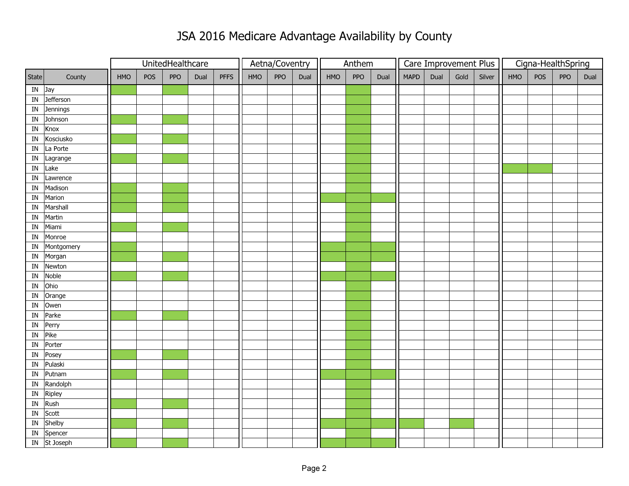## JSA 2016 Medicare Advantage Availability by County

|                          |                  |     |     | UnitedHealthcare |      |             | Aetna/Coventry |     |      |            | Anthem |      |             | Care Improvement Plus |      |        | Cigna-HealthSpring |     |     |      |  |
|--------------------------|------------------|-----|-----|------------------|------|-------------|----------------|-----|------|------------|--------|------|-------------|-----------------------|------|--------|--------------------|-----|-----|------|--|
| State                    | County           | HMO | POS | <b>PPO</b>       | Dual | <b>PFFS</b> | HMO            | PPO | Dual | <b>HMO</b> | PPO    | Dual | <b>MAPD</b> | Dual                  | Gold | Silver | HMO                | POS | PPO | Dual |  |
| ${\bf IN}$               | Jay              |     |     |                  |      |             |                |     |      |            |        |      |             |                       |      |        |                    |     |     |      |  |
| ${\rm IN}$               | <b>Jefferson</b> |     |     |                  |      |             |                |     |      |            |        |      |             |                       |      |        |                    |     |     |      |  |
| ${\rm IN}$               | Jennings         |     |     |                  |      |             |                |     |      |            |        |      |             |                       |      |        |                    |     |     |      |  |
| $\ensuremath{\text{IN}}$ | Johnson          |     |     |                  |      |             |                |     |      |            |        |      |             |                       |      |        |                    |     |     |      |  |
| IN                       | Knox             |     |     |                  |      |             |                |     |      |            |        |      |             |                       |      |        |                    |     |     |      |  |
| ${\tt IN}$               | Kosciusko        |     |     |                  |      |             |                |     |      |            |        |      |             |                       |      |        |                    |     |     |      |  |
| ${\tt IN}$               | La Porte         |     |     |                  |      |             |                |     |      |            |        |      |             |                       |      |        |                    |     |     |      |  |
| ${\tt IN}$               | Lagrange         |     |     |                  |      |             |                |     |      |            |        |      |             |                       |      |        |                    |     |     |      |  |
| ${\tt IN}$               | Lake             |     |     |                  |      |             |                |     |      |            |        |      |             |                       |      |        |                    |     |     |      |  |
| ${\tt IN}$               | Lawrence         |     |     |                  |      |             |                |     |      |            |        |      |             |                       |      |        |                    |     |     |      |  |
| $\ensuremath{\text{IN}}$ | Madison          |     |     |                  |      |             |                |     |      |            |        |      |             |                       |      |        |                    |     |     |      |  |
| IN                       | Marion           |     |     |                  |      |             |                |     |      |            |        |      |             |                       |      |        |                    |     |     |      |  |
| IN                       | Marshall         |     |     |                  |      |             |                |     |      |            |        |      |             |                       |      |        |                    |     |     |      |  |
| IN                       | Martin           |     |     |                  |      |             |                |     |      |            |        |      |             |                       |      |        |                    |     |     |      |  |
| IN                       | Miami            |     |     |                  |      |             |                |     |      |            |        |      |             |                       |      |        |                    |     |     |      |  |
| IN                       | Monroe           |     |     |                  |      |             |                |     |      |            |        |      |             |                       |      |        |                    |     |     |      |  |
| IN                       | Montgomery       |     |     |                  |      |             |                |     |      |            |        |      |             |                       |      |        |                    |     |     |      |  |
| IN                       | Morgan           |     |     |                  |      |             |                |     |      |            |        |      |             |                       |      |        |                    |     |     |      |  |
| $\ensuremath{\text{IN}}$ | Newton           |     |     |                  |      |             |                |     |      |            |        |      |             |                       |      |        |                    |     |     |      |  |
| $\ensuremath{\text{IN}}$ | Noble            |     |     |                  |      |             |                |     |      |            |        |      |             |                       |      |        |                    |     |     |      |  |
| $\ensuremath{\text{IN}}$ | Ohio             |     |     |                  |      |             |                |     |      |            |        |      |             |                       |      |        |                    |     |     |      |  |
| IN                       | Orange           |     |     |                  |      |             |                |     |      |            |        |      |             |                       |      |        |                    |     |     |      |  |
| IN                       | Owen             |     |     |                  |      |             |                |     |      |            |        |      |             |                       |      |        |                    |     |     |      |  |
| ${\tt IN}$               | Parke            |     |     |                  |      |             |                |     |      |            |        |      |             |                       |      |        |                    |     |     |      |  |
| IN                       | Perry            |     |     |                  |      |             |                |     |      |            |        |      |             |                       |      |        |                    |     |     |      |  |
| IN                       | Pike             |     |     |                  |      |             |                |     |      |            |        |      |             |                       |      |        |                    |     |     |      |  |
| IN                       | Porter           |     |     |                  |      |             |                |     |      |            |        |      |             |                       |      |        |                    |     |     |      |  |
| $\ensuremath{\text{IN}}$ | Posey            |     |     |                  |      |             |                |     |      |            |        |      |             |                       |      |        |                    |     |     |      |  |
| IN                       | Pulaski          |     |     |                  |      |             |                |     |      |            |        |      |             |                       |      |        |                    |     |     |      |  |
| IN                       | Putnam           |     |     |                  |      |             |                |     |      |            |        |      |             |                       |      |        |                    |     |     |      |  |
| ${\rm IN}$               | Randolph         |     |     |                  |      |             |                |     |      |            |        |      |             |                       |      |        |                    |     |     |      |  |
| ${\rm IN}$               | Ripley           |     |     |                  |      |             |                |     |      |            |        |      |             |                       |      |        |                    |     |     |      |  |
| IN                       | Rush             |     |     |                  |      |             |                |     |      |            |        |      |             |                       |      |        |                    |     |     |      |  |
| IN                       | Scott            |     |     |                  |      |             |                |     |      |            |        |      |             |                       |      |        |                    |     |     |      |  |
| ${\bf IN}$               | Shelby           |     |     |                  |      |             |                |     |      |            |        |      |             |                       |      |        |                    |     |     |      |  |
| $\ensuremath{\text{IN}}$ | Spencer          |     |     |                  |      |             |                |     |      |            |        |      |             |                       |      |        |                    |     |     |      |  |
| $\mathbf{IN}$            | St Joseph        |     |     |                  |      |             |                |     |      |            |        |      |             |                       |      |        |                    |     |     |      |  |